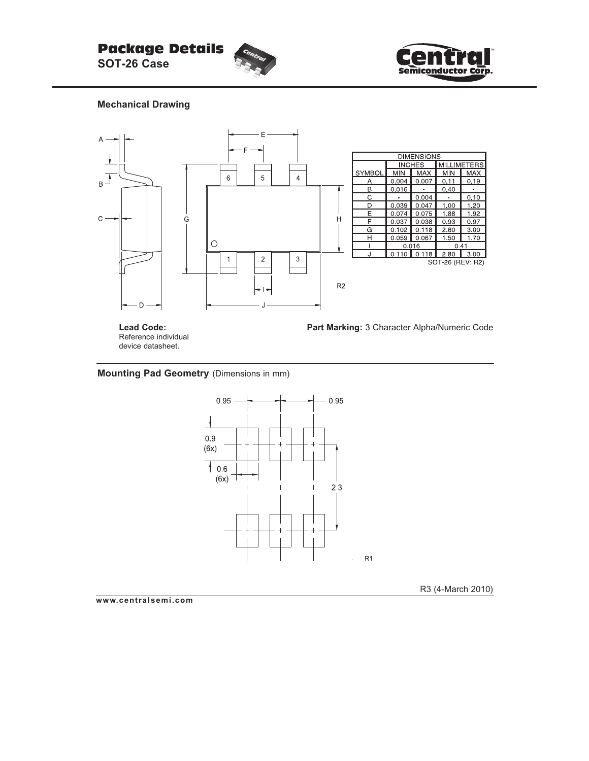



**Mechanical Drawing**



**Lead Code:** Reference individual device datasheet.

**Part Marking:** 3 Character Alpha/Numeric Code

#### **Mounting Pad Geometry** (Dimensions in mm)



R3 (4-March 2010)

**www.centralsemi.com**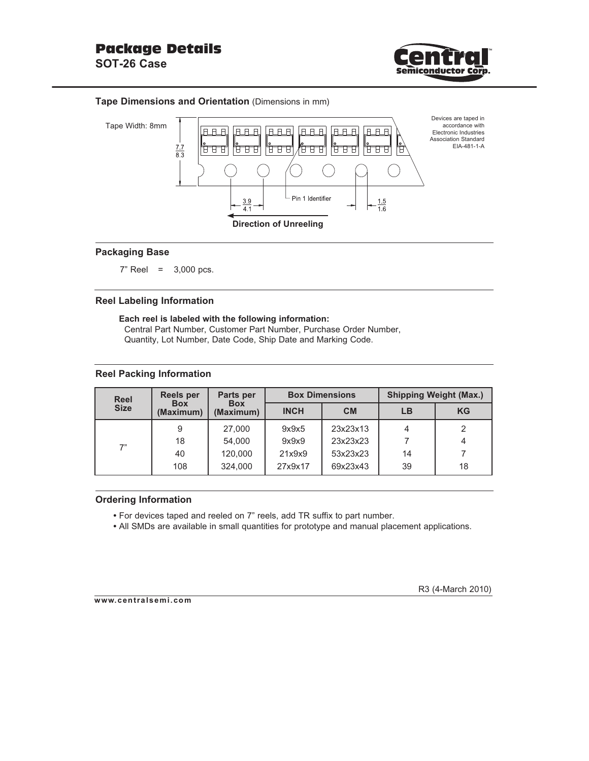

#### **Tape Dimensions and Orientation** (Dimensions in mm)



#### **Packaging Base**

7" Reel = 3,000 pcs.

### **Reel Labeling Information**

**Each reel is labeled with the following information:** Central Part Number, Customer Part Number, Purchase Order Number, Quantity, Lot Number, Date Code, Ship Date and Marking Code.

#### **Reel Packing Information**

| Reel<br><b>Size</b> | <b>Reels per</b><br><b>Box</b><br>(Maximum) | Parts per<br><b>Box</b><br>(Maximum) |             | <b>Box Dimensions</b> | <b>Shipping Weight (Max.)</b> |           |  |
|---------------------|---------------------------------------------|--------------------------------------|-------------|-----------------------|-------------------------------|-----------|--|
|                     |                                             |                                      | <b>INCH</b> | <b>CM</b>             | LB                            | <b>KG</b> |  |
| 7"                  | 9                                           | 27,000                               | 9x9x5       | 23x23x13              | 4                             |           |  |
|                     | 18                                          | 54,000                               | 9x9x9       | 23x23x23              |                               |           |  |
|                     | 40                                          | 120,000                              | 21x9x9      | 53x23x23              | 14                            |           |  |
|                     | 108                                         | 324,000                              | 27x9x17     | 69x23x43              | 39                            | 18        |  |

#### **Ordering Information**

**•** For devices taped and reeled on 7" reels, add TR suffix to part number.

**•** All SMDs are available in small quantities for prototype and manual placement applications.

#### **www.centralsemi.com**

R3 (4-March 2010)